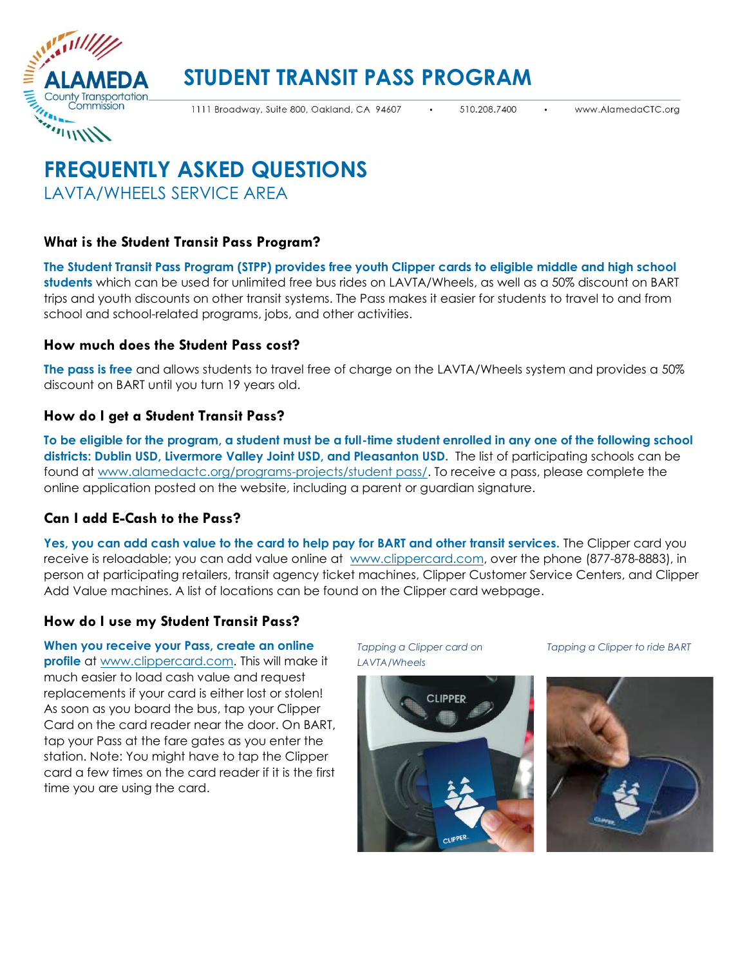

# **STUDENT TRANSIT PASS PROGRAM**

1111 Broadway, Suite 800, Oakland, CA 94607

510.208.7400

# **FREQUENTLY ASKED QUESTIONS** LAVTA/WHEELS SERVICE AREA

# **What is the Student Transit Pass Program?**

**The Student Transit Pass Program (STPP) provides free youth Clipper cards to eligible middle and high school students** which can be used for unlimited free bus rides on LAVTA/Wheels, as well as a 50% discount on BART trips and youth discounts on other transit systems. The Pass makes it easier for students to travel to and from school and school-related programs, jobs, and other activities.

## **How much does the Student Pass cost?**

**The pass is free** and allows students to travel free of charge on the LAVTA/Wheels system and provides a 50% discount on BART until you turn 19 years old.

## **How do I get a Student Transit Pass?**

**To be eligible for the program, a student must be a full-time student enrolled in any one of the following school districts: Dublin USD, Livermore Valley Joint USD, and Pleasanton USD.** The list of participating schools can be found at [www.alamedactc.org/programs-projects/student pass/.](https://www.alamedactc.org/programs-projects/studentpass/) To receive a pass, please complete the online application posted on the website, including a parent or guardian signature.

# **Can I add E-Cash to the Pass?**

**Yes, you can add cash value to the card to help pay for BART and other transit services.** The Clipper card you receive is reloadable; you can add value online at [www.clippercard.com,](http://www.clipper.com/) over the phone (877-878-8883), in person at participating retailers, transit agency ticket machines, Clipper Customer Service Centers, and Clipper Add Value machines. A list of locations can be found on the Clipper card webpage.

# **How do I use my Student Transit Pass?**

**When you receive your Pass, create an online profile** at [www.clippercard.com.](http://www.clipper.com/) This will make it much easier to load cash value and request replacements if your card is either lost or stolen! As soon as you board the bus, tap your Clipper Card on the card reader near the door. On BART, tap your Pass at the fare gates as you enter the station. Note: You might have to tap the Clipper card a few times on the card reader if it is the first time you are using the card.

*Tapping a Clipper card on LAVTA/Wheels*



*Tapping a Clipper to ride BART*